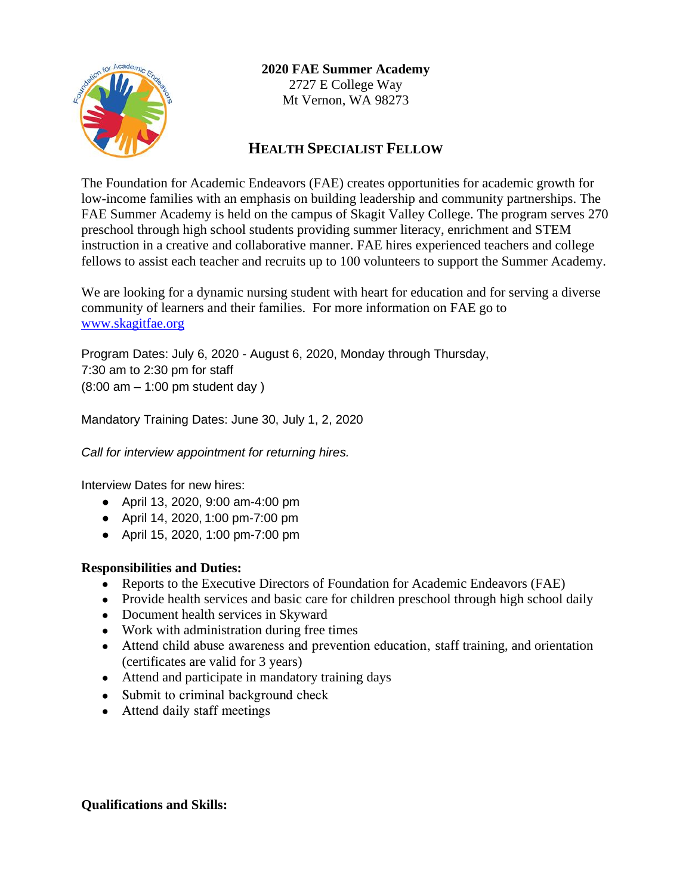

**2020 FAE Summer Academy**

2727 E College Way Mt Vernon, WA 98273

# **HEALTH SPECIALIST FELLOW**

The Foundation for Academic Endeavors (FAE) creates opportunities for academic growth for low-income families with an emphasis on building leadership and community partnerships. The FAE Summer Academy is held on the campus of Skagit Valley College. The program serves 270 preschool through high school students providing summer literacy, enrichment and STEM instruction in a creative and collaborative manner. FAE hires experienced teachers and college fellows to assist each teacher and recruits up to 100 volunteers to support the Summer Academy.

We are looking for a dynamic nursing student with heart for education and for serving a diverse community of learners and their families. For more information on FAE go to [www.skagitfae.org](http://www.skagitfae.org/)

Program Dates: July 6, 2020 - August 6, 2020, Monday through Thursday, 7:30 am to 2:30 pm for staff (8:00 am – 1:00 pm student day )

Mandatory Training Dates: June 30, July 1, 2, 2020

*Call for interview appointment for returning hires.*

Interview Dates for new hires:

- April 13, 2020, 9:00 am-4:00 pm
- April 14, 2020, 1:00 pm-7:00 pm
- April 15, 2020, 1:00 pm-7:00 pm

# **Responsibilities and Duties:**

- Reports to the Executive Directors of Foundation for Academic Endeavors (FAE)
- Provide health services and basic care for children preschool through high school daily
- Document health services in Skyward
- Work with administration during free times
- Attend child abuse awareness and prevention education, staff training, and orientation (certificates are valid for 3 years)
- Attend and participate in mandatory training days
- Submit to criminal background check
- Attend daily staff meetings

### **Qualifications and Skills:**